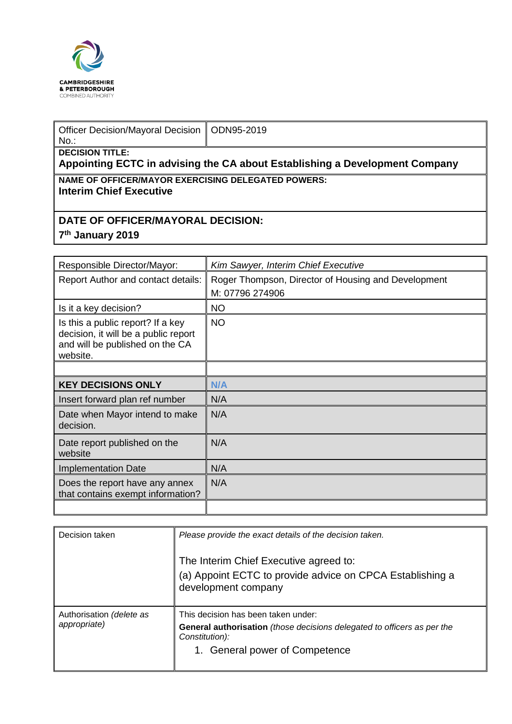

| Officer Decision/Mayoral Decision   ODN95-2019<br>$No.$ :                                             |  |  |  |
|-------------------------------------------------------------------------------------------------------|--|--|--|
| <b>DECISION TITLE:</b><br>Appointing ECTC in advising the CA about Establishing a Development Company |  |  |  |
| <b>NAME OF OFFICER/MAYOR EXERCISING DELEGATED POWERS:</b><br><b>Interim Chief Executive</b>           |  |  |  |

## **DATE OF OFFICER/MAYORAL DECISION:**

## **7th January 2019**

| Responsible Director/Mayor:                                                                                              | Kim Sawyer, Interim Chief Executive                 |  |
|--------------------------------------------------------------------------------------------------------------------------|-----------------------------------------------------|--|
| <b>Report Author and contact details:</b>                                                                                | Roger Thompson, Director of Housing and Development |  |
|                                                                                                                          | M: 07796 274906                                     |  |
| Is it a key decision?                                                                                                    | <b>NO</b>                                           |  |
| Is this a public report? If a key<br>decision, it will be a public report<br>and will be published on the CA<br>website. | <b>NO</b>                                           |  |
|                                                                                                                          |                                                     |  |
| <b>KEY DECISIONS ONLY</b>                                                                                                | N/A                                                 |  |
| Insert forward plan ref number                                                                                           | N/A                                                 |  |
| Date when Mayor intend to make<br>decision.                                                                              | N/A                                                 |  |
| Date report published on the<br>website                                                                                  | N/A                                                 |  |
| <b>Implementation Date</b>                                                                                               | N/A                                                 |  |
| Does the report have any annex<br>that contains exempt information?                                                      | N/A                                                 |  |
|                                                                                                                          |                                                     |  |

| Decision taken                           | Please provide the exact details of the decision taken.                                                                                                            |
|------------------------------------------|--------------------------------------------------------------------------------------------------------------------------------------------------------------------|
|                                          | The Interim Chief Executive agreed to:<br>(a) Appoint ECTC to provide advice on CPCA Establishing a<br>development company                                         |
| Authorisation (delete as<br>appropriate) | This decision has been taken under:<br>General authorisation (those decisions delegated to officers as per the<br>Constitution):<br>1. General power of Competence |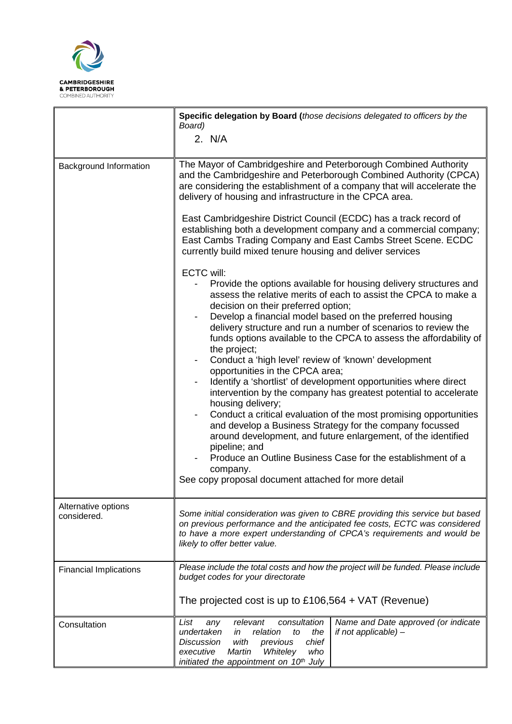

 $\overline{a}$ 

|                                    | Specific delegation by Board (those decisions delegated to officers by the<br>Board)                                                                                                                                                                                                                                                                                                                                                                                                                                                                                                                                                                                                                                                                                                                                                                                                                                                                                                                                              |  |  |  |
|------------------------------------|-----------------------------------------------------------------------------------------------------------------------------------------------------------------------------------------------------------------------------------------------------------------------------------------------------------------------------------------------------------------------------------------------------------------------------------------------------------------------------------------------------------------------------------------------------------------------------------------------------------------------------------------------------------------------------------------------------------------------------------------------------------------------------------------------------------------------------------------------------------------------------------------------------------------------------------------------------------------------------------------------------------------------------------|--|--|--|
|                                    | 2. N/A                                                                                                                                                                                                                                                                                                                                                                                                                                                                                                                                                                                                                                                                                                                                                                                                                                                                                                                                                                                                                            |  |  |  |
| Background Information             | The Mayor of Cambridgeshire and Peterborough Combined Authority<br>and the Cambridgeshire and Peterborough Combined Authority (CPCA)<br>are considering the establishment of a company that will accelerate the<br>delivery of housing and infrastructure in the CPCA area.                                                                                                                                                                                                                                                                                                                                                                                                                                                                                                                                                                                                                                                                                                                                                       |  |  |  |
|                                    | East Cambridgeshire District Council (ECDC) has a track record of<br>establishing both a development company and a commercial company;<br>East Cambs Trading Company and East Cambs Street Scene. ECDC<br>currently build mixed tenure housing and deliver services                                                                                                                                                                                                                                                                                                                                                                                                                                                                                                                                                                                                                                                                                                                                                               |  |  |  |
|                                    | <b>ECTC will:</b><br>Provide the options available for housing delivery structures and<br>assess the relative merits of each to assist the CPCA to make a<br>decision on their preferred option;<br>Develop a financial model based on the preferred housing<br>delivery structure and run a number of scenarios to review the<br>funds options available to the CPCA to assess the affordability of<br>the project;<br>Conduct a 'high level' review of 'known' development<br>opportunities in the CPCA area;<br>Identify a 'shortlist' of development opportunities where direct<br>intervention by the company has greatest potential to accelerate<br>housing delivery;<br>Conduct a critical evaluation of the most promising opportunities<br>and develop a Business Strategy for the company focussed<br>around development, and future enlargement, of the identified<br>pipeline; and<br>Produce an Outline Business Case for the establishment of a<br>company.<br>See copy proposal document attached for more detail |  |  |  |
| Alternative options<br>considered. | Some initial consideration was given to CBRE providing this service but based<br>on previous performance and the anticipated fee costs, ECTC was considered<br>to have a more expert understanding of CPCA's requirements and would be<br>likely to offer better value.                                                                                                                                                                                                                                                                                                                                                                                                                                                                                                                                                                                                                                                                                                                                                           |  |  |  |
| <b>Financial Implications</b>      | Please include the total costs and how the project will be funded. Please include<br>budget codes for your directorate<br>The projected cost is up to $£106,564 + VAT$ (Revenue)                                                                                                                                                                                                                                                                                                                                                                                                                                                                                                                                                                                                                                                                                                                                                                                                                                                  |  |  |  |
|                                    |                                                                                                                                                                                                                                                                                                                                                                                                                                                                                                                                                                                                                                                                                                                                                                                                                                                                                                                                                                                                                                   |  |  |  |
| Consultation                       | consultation<br>Name and Date approved (or indicate<br>List<br>relevant<br>any<br>undertaken<br>relation<br>if not applicable) -<br>in<br>to<br>the<br>chief<br><b>Discussion</b><br>with<br>previous<br>executive<br>Martin<br>Whiteley<br>who<br>initiated the appointment on 10 <sup>th</sup> July                                                                                                                                                                                                                                                                                                                                                                                                                                                                                                                                                                                                                                                                                                                             |  |  |  |